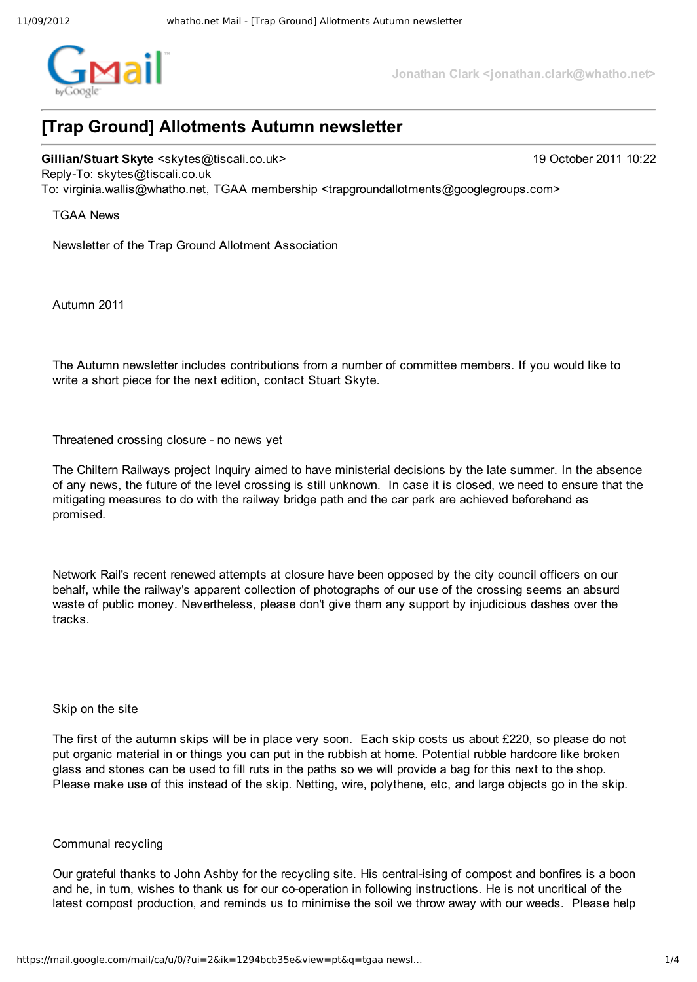

**Jonathan Clark <jonathan.clark@whatho.net>**

# **[Trap Ground] Allotments Autumn newsletter**

**Gillian/Stuart Skyte** <skytes@tiscali.co.uk> 19 October 2011 10:22 ReplyTo: skytes@tiscali.co.uk To: virginia.wallis@whatho.net, TGAA membership <trapgroundallotments@googlegroups.com>

TGAA News

Newsletter of the Trap Ground Allotment Association

Autumn 2011

The Autumn newsletter includes contributions from a number of committee members. If you would like to write a short piece for the next edition, contact Stuart Skyte.

Threatened crossing closure - no news yet

The Chiltern Railways project Inquiry aimed to have ministerial decisions by the late summer. In the absence of any news, the future of the level crossing is still unknown. In case it is closed, we need to ensure that the mitigating measures to do with the railway bridge path and the car park are achieved beforehand as promised.

Network Rail's recent renewed attempts at closure have been opposed by the city council officers on our behalf, while the railway's apparent collection of photographs of our use of the crossing seems an absurd waste of public money. Nevertheless, please don't give them any support by injudicious dashes over the tracks.

### Skip on the site

The first of the autumn skips will be in place very soon. Each skip costs us about £220, so please do not put organic material in or things you can put in the rubbish at home. Potential rubble hardcore like broken glass and stones can be used to fill ruts in the paths so we will provide a bag for this next to the shop. Please make use of this instead of the skip. Netting, wire, polythene, etc, and large objects go in the skip.

### Communal recycling

Our grateful thanks to John Ashby for the recycling site. His central-ising of compost and bonfires is a boon and he, in turn, wishes to thank us for our co-operation in following instructions. He is not uncritical of the latest compost production, and reminds us to minimise the soil we throw away with our weeds. Please help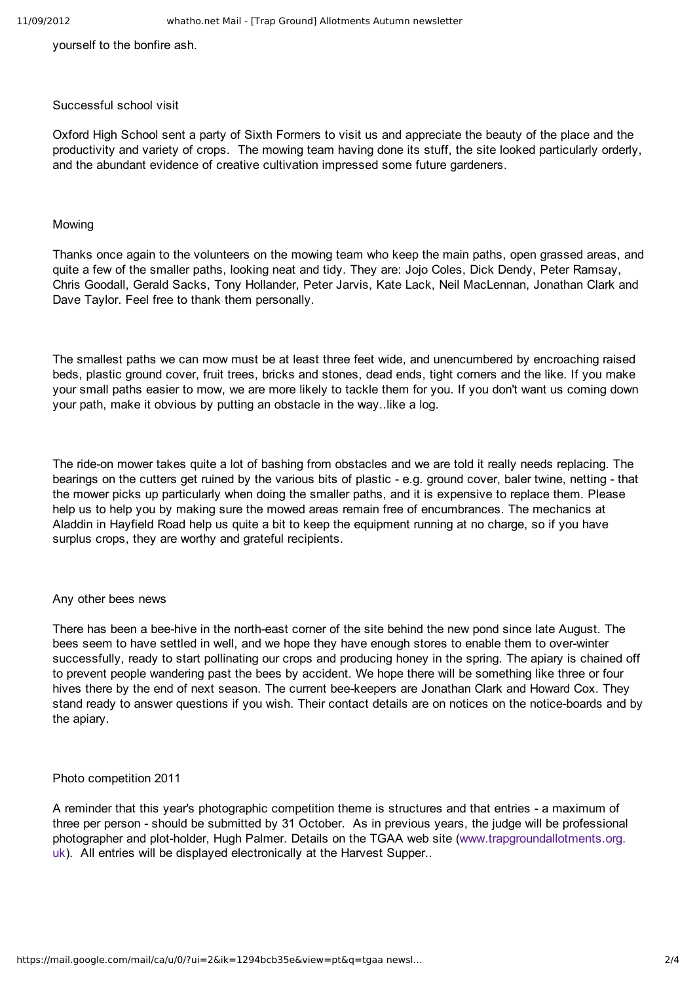yourself to the bonfire ash.

### Successful school visit

Oxford High School sent a party of Sixth Formers to visit us and appreciate the beauty of the place and the productivity and variety of crops. The mowing team having done its stuff, the site looked particularly orderly, and the abundant evidence of creative cultivation impressed some future gardeners.

## Mowing

Thanks once again to the volunteers on the mowing team who keep the main paths, open grassed areas, and quite a few of the smaller paths, looking neat and tidy. They are: Jojo Coles, Dick Dendy, Peter Ramsay, Chris Goodall, Gerald Sacks, Tony Hollander, Peter Jarvis, Kate Lack, Neil MacLennan, Jonathan Clark and Dave Taylor. Feel free to thank them personally.

The smallest paths we can mow must be at least three feet wide, and unencumbered by encroaching raised beds, plastic ground cover, fruit trees, bricks and stones, dead ends, tight corners and the like. If you make your small paths easier to mow, we are more likely to tackle them for you. If you don't want us coming down your path, make it obvious by putting an obstacle in the way..like a log.

The ride-on mower takes quite a lot of bashing from obstacles and we are told it really needs replacing. The bearings on the cutters get ruined by the various bits of plastic - e.g. ground cover, baler twine, netting - that the mower picks up particularly when doing the smaller paths, and it is expensive to replace them. Please help us to help you by making sure the mowed areas remain free of encumbrances. The mechanics at Aladdin in Hayfield Road help us quite a bit to keep the equipment running at no charge, so if you have surplus crops, they are worthy and grateful recipients.

### Any other bees news

There has been a bee-hive in the north-east corner of the site behind the new pond since late August. The bees seem to have settled in well, and we hope they have enough stores to enable them to over-winter successfully, ready to start pollinating our crops and producing honey in the spring. The apiary is chained off to prevent people wandering past the bees by accident. We hope there will be something like three or four hives there by the end of next season. The current bee-keepers are Jonathan Clark and Howard Cox. They stand ready to answer questions if you wish. Their contact details are on notices on the notice-boards and by the apiary.

### Photo competition 2011

A reminder that this year's photographic competition theme is structures and that entries - a maximum of three per person - should be submitted by 31 October. As in previous years, the judge will be professional photographer and plot-holder, Hugh Palmer. Details on the TGAA web site (www.trapgroundallotments.org. uk). All entries will be displayed electronically at the Harvest Supper..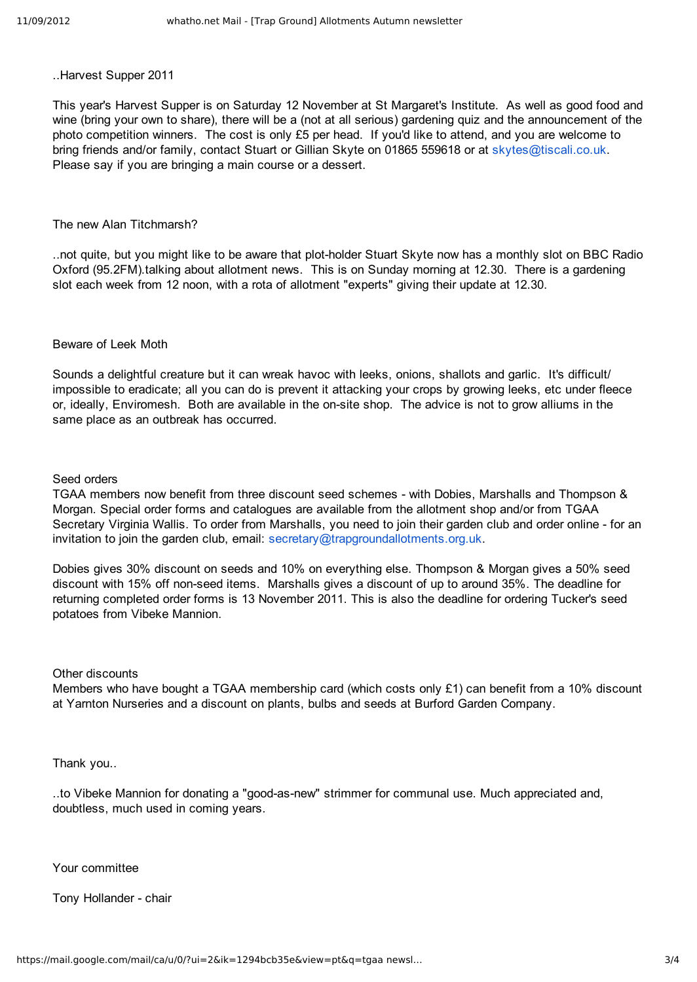..Harvest Supper 2011

This year's Harvest Supper is on Saturday 12 November at St Margaret's Institute. As well as good food and wine (bring your own to share), there will be a (not at all serious) gardening quiz and the announcement of the photo competition winners. The cost is only £5 per head. If you'd like to attend, and you are welcome to bring friends and/or family, contact Stuart or Gillian Skyte on 01865 559618 or at skytes@tiscali.co.uk. Please say if you are bringing a main course or a dessert.

### The new Alan Titchmarsh?

..not quite, but you might like to be aware that plot-holder Stuart Skyte now has a monthly slot on BBC Radio Oxford (95.2FM).talking about allotment news. This is on Sunday morning at 12.30. There is a gardening slot each week from 12 noon, with a rota of allotment "experts" giving their update at 12.30.

#### Beware of Leek Moth

Sounds a delightful creature but it can wreak havoc with leeks, onions, shallots and garlic. It's difficult/ impossible to eradicate; all you can do is prevent it attacking your crops by growing leeks, etc under fleece or, ideally, Enviromesh. Both are available in the on-site shop. The advice is not to grow alliums in the same place as an outbreak has occurred.

### Seed orders

TGAA members now benefit from three discount seed schemes with Dobies, Marshalls and Thompson & Morgan. Special order forms and catalogues are available from the allotment shop and/or from TGAA Secretary Virginia Wallis. To order from Marshalls, you need to join their garden club and order online - for an invitation to join the garden club, email: secretary@trapgroundallotments.org.uk.

Dobies gives 30% discount on seeds and 10% on everything else. Thompson & Morgan gives a 50% seed discount with 15% off nonseed items. Marshalls gives a discount of up to around 35%. The deadline for returning completed order forms is 13 November 2011. This is also the deadline for ordering Tucker's seed potatoes from Vibeke Mannion.

### Other discounts

Members who have bought a TGAA membership card (which costs only £1) can benefit from a 10% discount at Yarnton Nurseries and a discount on plants, bulbs and seeds at Burford Garden Company.

Thank you..

..to Vibeke Mannion for donating a "good-as-new" strimmer for communal use. Much appreciated and, doubtless, much used in coming years.

Your committee

Tony Hollander - chair